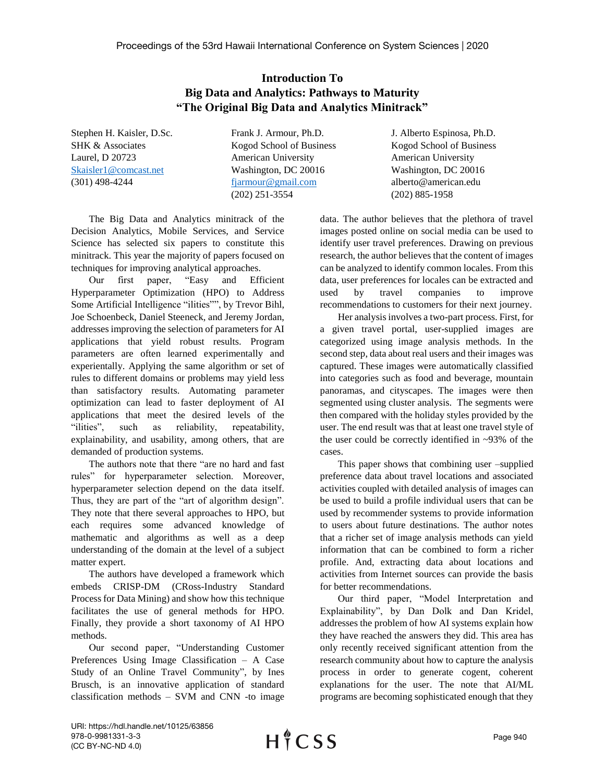## **Introduction To Big Data and Analytics: Pathways to Maturity "The Original Big Data and Analytics Minitrack"**

Stephen H. Kaisler, D.Sc. Frank J. Armour, Ph.D. J. Alberto Espinosa, Ph.D. SHK & Associates The Kogod School of Business Kogod School of Business Laurel, D 20723 American University American University [Skaisler1@comcast.net](mailto:Skaisler1@comcast.net) Washington, DC 20016 Washington, DC 20016 (301) 498-4244 [fjarmour@gmail.com](mailto:fjarmour@gmail.com) alberto@american.edu (202) 251-3554 (202) 885-1958

The Big Data and Analytics minitrack of the Decision Analytics, Mobile Services, and Service Science has selected six papers to constitute this minitrack. This year the majority of papers focused on techniques for improving analytical approaches.

Our first paper, "Easy and Efficient Hyperparameter Optimization (HPO) to Address Some Artificial Intelligence "ilities"", by Trevor Bihl, Joe Schoenbeck, Daniel Steeneck, and Jeremy Jordan, addresses improving the selection of parameters for AI applications that yield robust results. Program parameters are often learned experimentally and experientally. Applying the same algorithm or set of rules to different domains or problems may yield less than satisfactory results. Automating parameter optimization can lead to faster deployment of AI applications that meet the desired levels of the "ilities", such as reliability, repeatability, explainability, and usability, among others, that are demanded of production systems.

The authors note that there "are no hard and fast rules" for hyperparameter selection. Moreover, hyperparameter selection depend on the data itself. Thus, they are part of the "art of algorithm design". They note that there several approaches to HPO, but each requires some advanced knowledge of mathematic and algorithms as well as a deep understanding of the domain at the level of a subject matter expert.

The authors have developed a framework which embeds CRISP-DM (CRoss-Industry Standard Process for Data Mining) and show how this technique facilitates the use of general methods for HPO. Finally, they provide a short taxonomy of AI HPO methods.

Our second paper, "Understanding Customer Preferences Using Image Classification – A Case Study of an Online Travel Community", by Ines Brusch, is an innovative application of standard classification methods – SVM and CNN -to image

data. The author believes that the plethora of travel images posted online on social media can be used to identify user travel preferences. Drawing on previous research, the author believes that the content of images can be analyzed to identify common locales. From this data, user preferences for locales can be extracted and used by travel companies to improve recommendations to customers for their next journey.

Her analysis involves a two-part process. First, for a given travel portal, user-supplied images are categorized using image analysis methods. In the second step, data about real users and their images was captured. These images were automatically classified into categories such as food and beverage, mountain panoramas, and cityscapes. The images were then segmented using cluster analysis. The segments were then compared with the holiday styles provided by the user. The end result was that at least one travel style of the user could be correctly identified in ~93% of the cases.

This paper shows that combining user –supplied preference data about travel locations and associated activities coupled with detailed analysis of images can be used to build a profile individual users that can be used by recommender systems to provide information to users about future destinations. The author notes that a richer set of image analysis methods can yield information that can be combined to form a richer profile. And, extracting data about locations and activities from Internet sources can provide the basis for better recommendations.

Our third paper, "Model Interpretation and Explainability", by Dan Dolk and Dan Kridel, addresses the problem of how AI systems explain how they have reached the answers they did. This area has only recently received significant attention from the research community about how to capture the analysis process in order to generate cogent, coherent explanations for the user. The note that AI/ML programs are becoming sophisticated enough that they

URI: https://hdl.handle.net/10125/63856 978-0-9981331-3-3 (CC BY-NC-ND 4.0)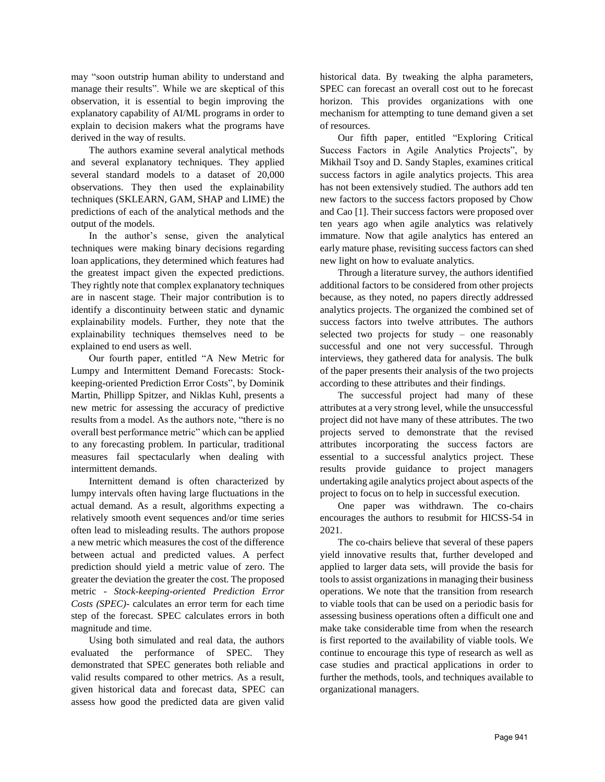may "soon outstrip human ability to understand and manage their results". While we are skeptical of this observation, it is essential to begin improving the explanatory capability of AI/ML programs in order to explain to decision makers what the programs have derived in the way of results.

The authors examine several analytical methods and several explanatory techniques. They applied several standard models to a dataset of 20,000 observations. They then used the explainability techniques (SKLEARN, GAM, SHAP and LIME) the predictions of each of the analytical methods and the output of the models.

In the author's sense, given the analytical techniques were making binary decisions regarding loan applications, they determined which features had the greatest impact given the expected predictions. They rightly note that complex explanatory techniques are in nascent stage. Their major contribution is to identify a discontinuity between static and dynamic explainability models. Further, they note that the explainability techniques themselves need to be explained to end users as well.

Our fourth paper, entitled "A New Metric for Lumpy and Intermittent Demand Forecasts: Stockkeeping-oriented Prediction Error Costs", by Dominik Martin, Phillipp Spitzer, and Niklas Kuhl, presents a new metric for assessing the accuracy of predictive results from a model. As the authors note, "there is no overall best performance metric" which can be applied to any forecasting problem. In particular, traditional measures fail spectacularly when dealing with intermittent demands.

Internittent demand is often characterized by lumpy intervals often having large fluctuations in the actual demand. As a result, algorithms expecting a relatively smooth event sequences and/or time series often lead to misleading results. The authors propose a new metric which measures the cost of the difference between actual and predicted values. A perfect prediction should yield a metric value of zero. The greater the deviation the greater the cost. The proposed metric - *Stock-keeping-oriented Prediction Error Costs (SPEC)*- calculates an error term for each time step of the forecast. SPEC calculates errors in both magnitude and time.

Using both simulated and real data, the authors evaluated the performance of SPEC. They demonstrated that SPEC generates both reliable and valid results compared to other metrics. As a result, given historical data and forecast data, SPEC can assess how good the predicted data are given valid historical data. By tweaking the alpha parameters, SPEC can forecast an overall cost out to he forecast horizon. This provides organizations with one mechanism for attempting to tune demand given a set of resources.

Our fifth paper, entitled "Exploring Critical Success Factors in Agile Analytics Projects", by Mikhail Tsoy and D. Sandy Staples, examines critical success factors in agile analytics projects. This area has not been extensively studied. The authors add ten new factors to the success factors proposed by Chow and Cao [1]. Their success factors were proposed over ten years ago when agile analytics was relatively immature. Now that agile analytics has entered an early mature phase, revisiting success factors can shed new light on how to evaluate analytics.

Through a literature survey, the authors identified additional factors to be considered from other projects because, as they noted, no papers directly addressed analytics projects. The organized the combined set of success factors into twelve attributes. The authors selected two projects for study – one reasonably successful and one not very successful. Through interviews, they gathered data for analysis. The bulk of the paper presents their analysis of the two projects according to these attributes and their findings.

The successful project had many of these attributes at a very strong level, while the unsuccessful project did not have many of these attributes. The two projects served to demonstrate that the revised attributes incorporating the success factors are essential to a successful analytics project. These results provide guidance to project managers undertaking agile analytics project about aspects of the project to focus on to help in successful execution.

One paper was withdrawn. The co-chairs encourages the authors to resubmit for HICSS-54 in 2021.

The co-chairs believe that several of these papers yield innovative results that, further developed and applied to larger data sets, will provide the basis for tools to assist organizations in managing their business operations. We note that the transition from research to viable tools that can be used on a periodic basis for assessing business operations often a difficult one and make take considerable time from when the research is first reported to the availability of viable tools. We continue to encourage this type of research as well as case studies and practical applications in order to further the methods, tools, and techniques available to organizational managers.